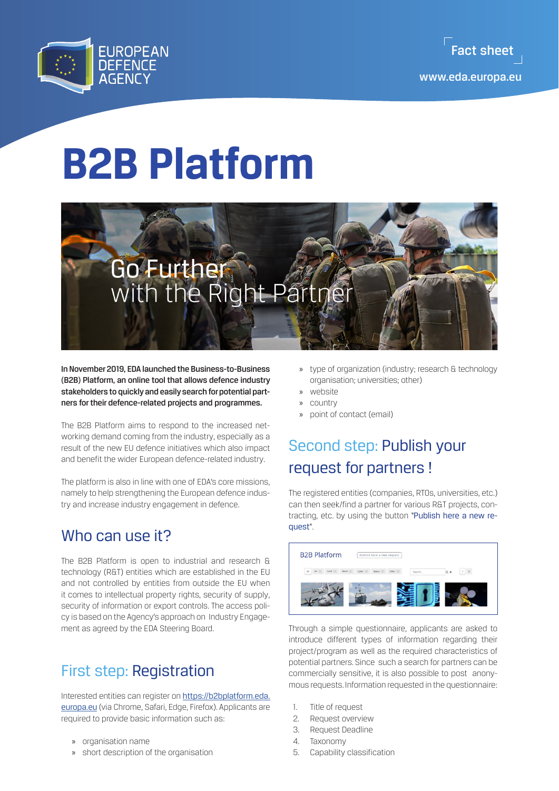

# **B2B Platform**



In November 2019, EDA launched the Business-to-Business (B2B) Platform, an online tool that allows defence industry stakeholders to quickly and easily search for potential partners for their defence-related projects and programmes.

The B2B Platform aims to respond to the increased networking demand coming from the industry, especially as a result of the new EU defence initiatives which also impact and benefit the wider European defence-related industry.

The platform is also in line with one of EDA's core missions, namely to help strengthening the European defence industry and increase industry engagement in defence.

## Who can use it?

The B2B Platform is open to industrial and research & technology (R&T) entities which are established in the EU and not controlled by entities from outside the EU when it comes to intellectual property rights, security of supply, security of information or export controls. The access policy is based on the Agency's approach on Industry Engagement as agreed by the EDA Steering Board.

## First step: Registration

Interested entities can register on [https://b2bplatform.eda.](https://b2bplatform.eda.europa.eu) [europa.eu](https://b2bplatform.eda.europa.eu) (via Chrome, Safari, Edge, Firefox). Applicants are required to provide basic information such as:

- » organisation name
- » short description of the organisation
- » type of organization (industry; research & technology organisation; universities; other)
- » website
- » country
- » point of contact (email)

## Second step: Publish your request for partners !

The registered entities (companies, RTOs, universities, etc.) can then seek/find a partner for various R&T projects, contracting, etc. by using the button "Publish here a new request".

| <b>B2B Platform</b>               | Publish here a new request        |     |
|-----------------------------------|-----------------------------------|-----|
| Naval<br>Land<br>All<br><b>At</b> | Cyber<br>Other<br>Space<br>Search | Q x |
|                                   |                                   |     |
|                                   |                                   |     |

Through a simple questionnaire, applicants are asked to introduce different types of information regarding their project/program as well as the required characteristics of potential partners. Since such a search for partners can be commercially sensitive, it is also possible to post anonymous requests. Information requested in the questionnaire:

- 1 Title of request
- 2. Request overview
- 3. Request Deadline
- 4. Taxonomy
- 5. Capability classification